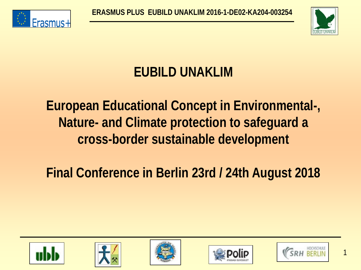



## **EUBILD UNAKLIM**

## **European Educational Concept in Environmental-, Nature- and Climate protection to safeguard a cross-border sustainable development**

## **Final Conference in Berlin 23rd / 24th August 2018**











1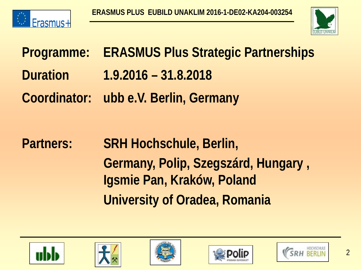



**Programme: ERASMUS Plus Strategic Partnerships Duration 1.9.2016 – 31.8.2018 Coordinator: ubb e.V. Berlin, Germany** 

**Partners: SRH Hochschule, Berlin, Germany, Polip, Szegszárd, Hungary , Igsmie Pan, Kraków, Poland University of Oradea, Romania**









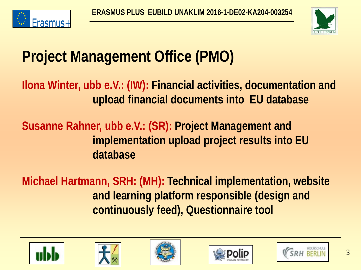



# **Project Management Office (PMO)**

**Ilona Winter, ubb e.V.: (IW): Financial activities, documentation and upload financial documents into EU database**

**Susanne Rahner, ubb e.V.: (SR): Project Management and implementation upload project results into EU database** 

**Michael Hartmann, SRH: (MH): Technical implementation, website and learning platform responsible (design and continuously feed), Questionnaire tool** 









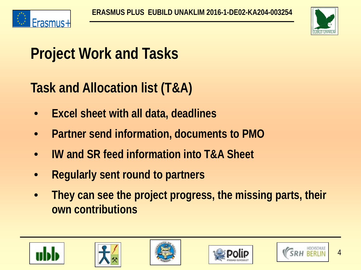



# **Project Work and Tasks**

## **Task and Allocation list (T&A)**

- **Excel sheet with all data, deadlines**
- **Partner send information, documents to PMO**
- **IW and SR feed information into T&A Sheet**
- **Regularly sent round to partners**
- **They can see the project progress, the missing parts, their own contributions**









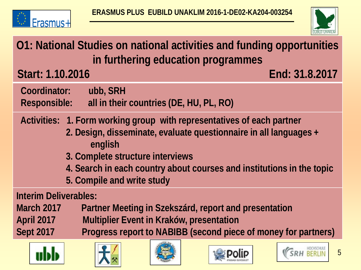



### **O1: National Studies on national activities and funding opportunities in furthering education programmes**

**Start: 1.10.2016 End: 31.8.2017**

- **Coordinator: ubb, SRH Responsible: all in their countries (DE, HU, PL, RO)**
- **Activities: 1. Form working group with representatives of each partner**
	- **2. Design, disseminate, evaluate questionnaire in all languages + english**
	- **3. Complete structure interviews**
	- **4. Search in each country about courses and institutions in the topic**
	- **5. Compile and write study**

**Interim Deliverables:** 

**March 2017 Partner Meeting in Szekszárd, report and presentation**

**April 2017 Multiplier Event in Kraków, presentation**

**Sept 2017 Progress report to NABIBB (second piece of money for partners)** 









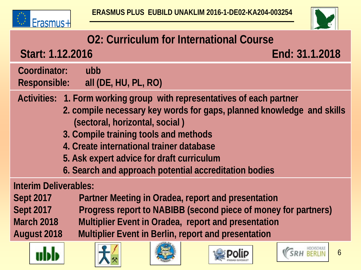



### **O2: Curriculum for International Course**

**Start: 1.12.2016 End: 31.1.2018**

 **Coordinator: ubb Responsible: all (DE, HU, PL, RO)**

 **Activities: 1. Form working group with representatives of each partner**

- **2. compile necessary key words for gaps, planned knowledge and skills (sectoral, horizontal, social )**
- **3. Compile training tools and methods**
- **4. Create international trainer database**
- **5. Ask expert advice for draft curriculum**
- **6. Search and approach potential accreditation bodies**

#### **Interim Deliverables:**

**Sept 2017 Partner Meeting in Oradea, report and presentation Sept 2017 Progress report to NABIBB (second piece of money for partners) March 2018 Multiplier Event in Oradea, report and presentation August 2018 Multiplier Event in Berlin, report and presentation**









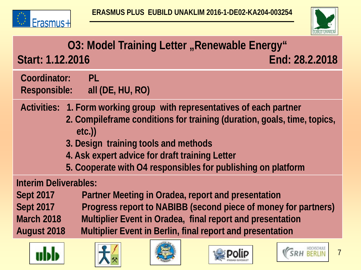



### **O3: Model Training Letter "Renewable Energy" Start: 1.12.2016 End: 28.2.2018**

 **Coordinator: PL Responsible: all (DE, HU, RO)**

 **Activities: 1. Form working group with representatives of each partner**

- **2. Compileframe conditions for training (duration, goals, time, topics, etc.))**
- **3. Design training tools and methods**
- **4. Ask expert advice for draft training Letter**
- **5. Cooperate with O4 responsibles for publishing on platform**

#### **Interim Deliverables:**

**Sept 2017 Partner Meeting in Oradea, report and presentation Sept 2017 Progress report to NABIBB (second piece of money for partners) March 2018 Multiplier Event in Oradea, final report and presentation August 2018 Multiplier Event in Berlin, final report and presentation**











7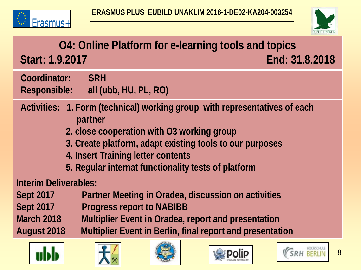



### **O4: Online Platform for e-learning tools and topics Start: 1.9.2017 End: 31.8.2018**

 **Coordinator: SRH Responsible: all (ubb, HU, PL, RO)**

 **Activities: 1. Form (technical) working group with representatives of each partner**

- **2. close cooperation with O3 working group**
- **3. Create platform, adapt existing tools to our purposes**
- **4. Insert Training letter contents**
- **5. Regular internat functionality tests of platform**

#### **Interim Deliverables:**

**Sept 2017 Partner Meeting in Oradea, discussion on activities**

Sept 2017 Progress report to NABIBB

**March 2018 Multiplier Event in Oradea, report and presentation**

**August 2018 Multiplier Event in Berlin, final report and presentation**









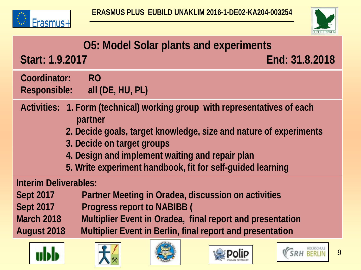

UDD



|                                                                                       |                                            |  | <b>LUBILD-UNANLIN</b> |
|---------------------------------------------------------------------------------------|--------------------------------------------|--|-----------------------|
| <b>O5: Model Solar plants and experiments</b>                                         |                                            |  |                       |
| Start: 1.9.2017                                                                       |                                            |  | End: 31.8.2018        |
| Coordinator:                                                                          | <b>RO</b><br>Responsible: all (DE, HU, PL) |  |                       |
| Activities: 1. Form (technical) working group with representatives of each<br>partner |                                            |  |                       |
| 2. Decide goals, target knowledge, size and nature of experiments                     |                                            |  |                       |
| 3. Decide on target groups                                                            |                                            |  |                       |
| 4. Design and implement waiting and repair plan                                       |                                            |  |                       |
| 5. Write experiment handbook, fit for self-guided learning                            |                                            |  |                       |
| <b>Interim Deliverables:</b>                                                          |                                            |  |                       |
| Partner Meeting in Oradea, discussion on activities<br><b>Sept 2017</b>               |                                            |  |                       |
| <b>Sept 2017</b>                                                                      | <b>Progress report to NABIBB (</b>         |  |                       |
| <b>March 2018</b><br>Multiplier Event in Oradea, final report and presentation        |                                            |  |                       |
| Multiplier Event in Berlin, final report and presentation<br><b>August 2018</b>       |                                            |  |                       |
|                                                                                       |                                            |  | 9                     |

**POIIP** IFJÚSÁGI EGYESŰLET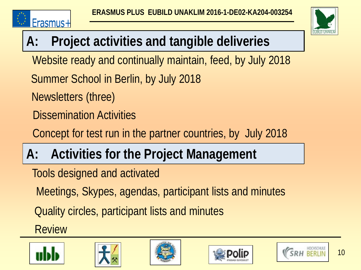



# **A: Project activities and tangible deliveries**

Website ready and continually maintain, feed, by July 2018

Summer School in Berlin, by July 2018

Newsletters (three)

Dissemination Activities

Concept for test run in the partner countries, by July 2018

# **A: Activities for the Project Management**

Tools designed and activated

Meetings, Skypes, agendas, participant lists and minutes

Quality circles, participant lists and minutes

Review